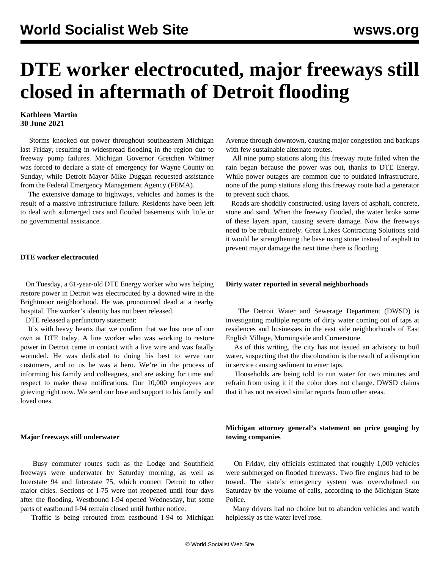# **DTE worker electrocuted, major freeways still closed in aftermath of Detroit flooding**

# **Kathleen Martin 30 June 2021**

 Storms knocked out power throughout southeastern Michigan last Friday, resulting in widespread flooding in the region due to freeway pump failures. Michigan Governor Gretchen Whitmer was forced to declare a state of emergency for Wayne County on Sunday, while Detroit Mayor Mike Duggan requested assistance from the Federal Emergency Management Agency (FEMA).

 The extensive damage to highways, vehicles and homes is the result of a massive infrastructure failure. Residents have been left to deal with submerged cars and flooded basements with little or no governmental assistance.

#### **DTE worker electrocuted**

 On Tuesday, a 61-year-old DTE Energy worker who was helping restore power in Detroit was electrocuted by a downed wire in the Brightmoor neighborhood. He was pronounced dead at a nearby hospital. The worker's identity has not been released.

DTE released a perfunctory statement:

 It's with heavy hearts that we confirm that we lost one of our own at DTE today. A line worker who was working to restore power in Detroit came in contact with a live wire and was fatally wounded. He was dedicated to doing his best to serve our customers, and to us he was a hero. We're in the process of informing his family and colleagues, and are asking for time and respect to make these notifications. Our 10,000 employees are grieving right now. We send our love and support to his family and loved ones.

### **Major freeways still underwater**

 Busy commuter routes such as the Lodge and Southfield freeways were underwater by Saturday morning, as well as Interstate 94 and Interstate 75, which connect Detroit to other major cities. Sections of I-75 were not reopened until four days after the flooding. Westbound I-94 opened Wednesday, but some parts of eastbound I-94 remain closed until further notice.

Traffic is being rerouted from eastbound I-94 to Michigan

Avenue through downtown, causing major congestion and backups with few sustainable alternate routes.

 All nine pump stations along this freeway route failed when the rain began because the power was out, thanks to DTE Energy. While power outages are common due to outdated infrastructure, none of the pump stations along this freeway route had a generator to prevent such chaos.

 Roads are shoddily constructed, using layers of asphalt, concrete, stone and sand. When the freeway flooded, the water broke some of these layers apart, causing severe damage. Now the freeways need to be rebuilt entirely. Great Lakes Contracting Solutions said it would be strengthening the base using stone instead of asphalt to prevent major damage the next time there is flooding.

#### **Dirty water reported in several neighborhoods**

 The Detroit Water and Sewerage Department (DWSD) is investigating multiple reports of dirty water coming out of taps at residences and businesses in the east side neighborhoods of East English Village, Morningside and Cornerstone.

 As of this writing, the city has not issued an advisory to boil water, suspecting that the discoloration is the result of a disruption in service causing sediment to enter taps.

 Households are being told to run water for two minutes and refrain from using it if the color does not change. DWSD claims that it has not received similar reports from other areas.

## **Michigan attorney general's statement on price gouging by towing companies**

 On Friday, city officials estimated that roughly 1,000 vehicles were submerged on flooded freeways. Two fire engines had to be towed. The state's emergency system was overwhelmed on Saturday by the volume of calls, according to the Michigan State Police.

 Many drivers had no choice but to abandon vehicles and watch helplessly as the water level rose.